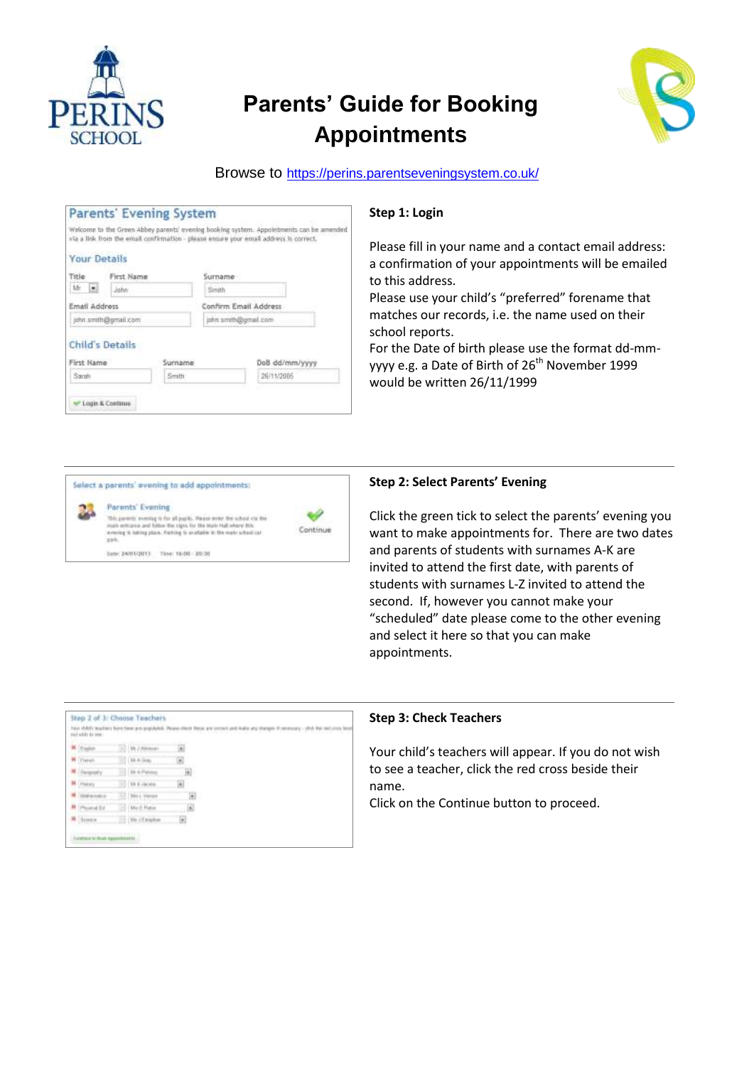

# **Parents' Guide for Booking Appointments**



## Browse to <https://perins.parentseveningsystem.co.uk/>

|                      |                        |         |                       | via a link from the email confirmation - please ensure your email address is correct. |
|----------------------|------------------------|---------|-----------------------|---------------------------------------------------------------------------------------|
|                      | <b>Your Details</b>    |         |                       |                                                                                       |
| Title                | First Name             |         | Surname               |                                                                                       |
| Mr<br>$\mathcal{C}$  | John                   |         | Smith                 |                                                                                       |
|                      | Email Address          |         | Confirm Email Address |                                                                                       |
| john smith@gmail.com |                        |         | john smth@omail.com   |                                                                                       |
| First Name           | <b>Child's Details</b> | Surname |                       | DoB dd/mm/yyyy                                                                        |
|                      | Samb                   |         |                       | 26/11/2005                                                                            |

## **Step 1: Login**

Please fill in your name and a contact email address: a confirmation of your appointments will be emailed to this address.

Please use your child's "preferred" forename that matches our records, i.e. the name used on their school reports.

For the Date of birth please use the format dd-mmyyyy e.g. a Date of Birth of 26<sup>th</sup> November 1999 would be written 26/11/1999



## **Step 2: Select Parents' Evening**

Click the green tick to select the parents' evening you want to make appointments for. There are two dates and parents of students with surnames A-K are invited to attend the first date, with parents of students with surnames L-Z invited to attend the second. If, however you cannot make your "scheduled" date please come to the other evening and select it here so that you can make appointments.

| <b>M. It suites</b>         | El Williams            |    |  |
|-----------------------------|------------------------|----|--|
| Platest:                    | $100.6$ Geg            |    |  |
| General                     | $-1.49$ A Fan          | Q  |  |
| <b>N</b> Fluency            | 17. Mr K raceira       |    |  |
| <b>N</b> Island armounts of | TT Mrs. Viewer         | ×. |  |
| <b>M</b> Phoenix Ed         | <b>UNIT Pater</b>      |    |  |
| <b>W</b> Suven              | <b>CELON-IS HIMMIN</b> | ä  |  |

#### **Step 3: Check Teachers**

Your child's teachers will appear. If you do not wish to see a teacher, click the red cross beside their name.

Click on the Continue button to proceed.